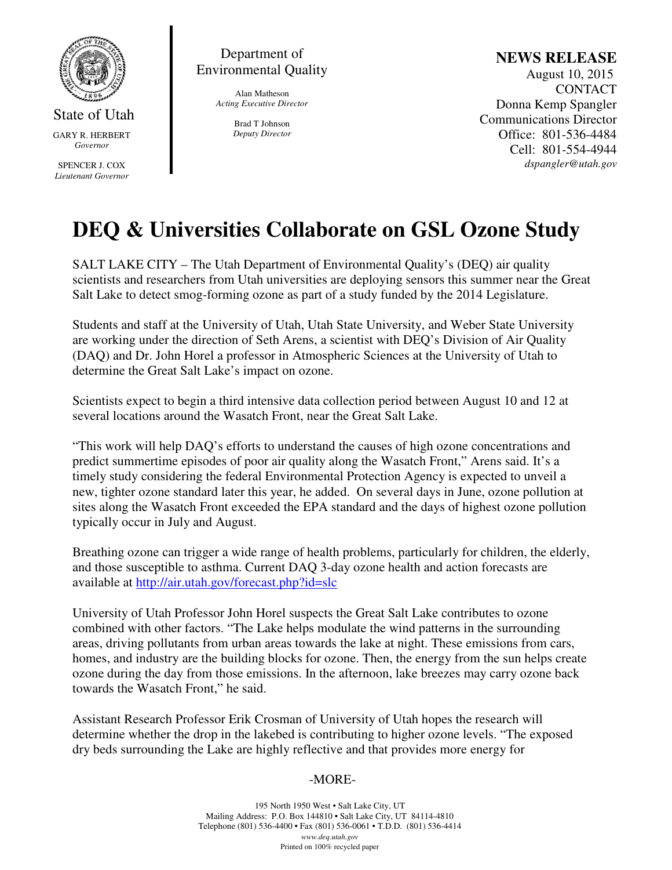

State of Utah GARY R. HERBERT *Governor* 

SPENCER J. COX *Lieutenant Governor* 

Department of Environmental Quality

> Alan Matheson *Acting Executive Director*

> > Brad T Johnson *Deputy Director*

## **NEWS RELEASE**

 August 10, 2015 **CONTACT** Donna Kemp Spangler Communications Director Office: 801-536-4484 Cell: 801-554-4944 *dspangler@utah.gov* 

# **DEQ & Universities Collaborate on GSL Ozone Study**

SALT LAKE CITY – The Utah Department of Environmental Quality's (DEQ) air quality scientists and researchers from Utah universities are deploying sensors this summer near the Great Salt Lake to detect smog-forming ozone as part of a study funded by the 2014 Legislature.

Students and staff at the University of Utah, Utah State University, and Weber State University are working under the direction of Seth Arens, a scientist with DEQ's Division of Air Quality (DAQ) and Dr. John Horel a professor in Atmospheric Sciences at the University of Utah to determine the Great Salt Lake's impact on ozone.

Scientists expect to begin a third intensive data collection period between August 10 and 12 at several locations around the Wasatch Front, near the Great Salt Lake.

"This work will help DAQ's efforts to understand the causes of high ozone concentrations and predict summertime episodes of poor air quality along the Wasatch Front," Arens said. It's a timely study considering the federal Environmental Protection Agency is expected to unveil a new, tighter ozone standard later this year, he added. On several days in June, ozone pollution at sites along the Wasatch Front exceeded the EPA standard and the days of highest ozone pollution typically occur in July and August.

Breathing ozone can trigger a wide range of health problems, particularly for children, the elderly, and those susceptible to asthma. Current DAQ 3-day ozone health and action forecasts are available at http://air.utah.gov/forecast.php?id=slc

University of Utah Professor John Horel suspects the Great Salt Lake contributes to ozone combined with other factors. "The Lake helps modulate the wind patterns in the surrounding areas, driving pollutants from urban areas towards the lake at night. These emissions from cars, homes, and industry are the building blocks for ozone. Then, the energy from the sun helps create ozone during the day from those emissions. In the afternoon, lake breezes may carry ozone back towards the Wasatch Front," he said.

Assistant Research Professor Erik Crosman of University of Utah hopes the research will determine whether the drop in the lakebed is contributing to higher ozone levels. "The exposed dry beds surrounding the Lake are highly reflective and that provides more energy for

## -MORE-

195 North 1950 West • Salt Lake City, UT Mailing Address: P.O. Box 144810 • Salt Lake City, UT 84114-4810 Telephone (801) 536-4400 • Fax (801) 536-0061 • T.D.D. (801) 536-4414 *www.deq.utah.gov*  Printed on 100% recycled paper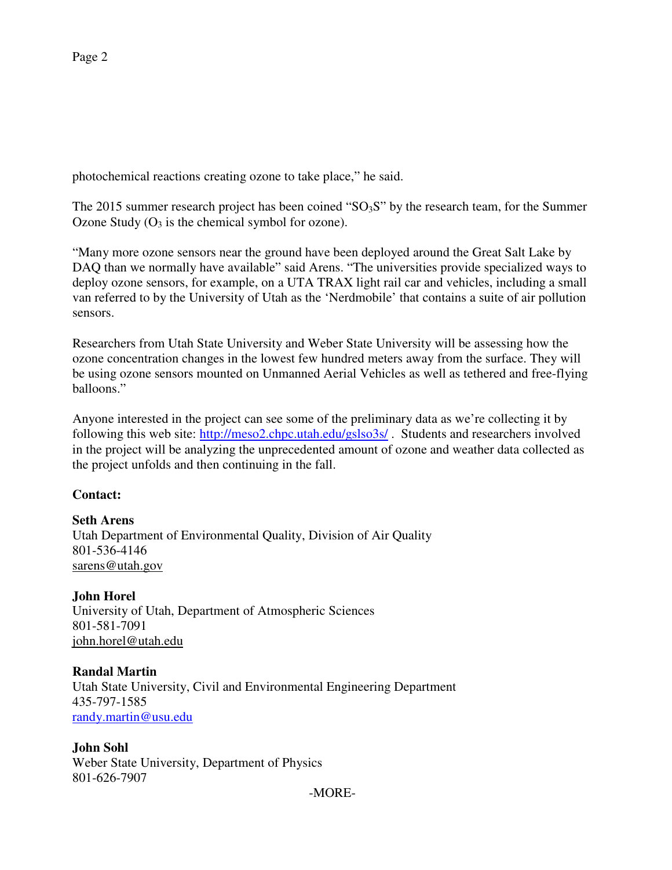photochemical reactions creating ozone to take place," he said.

The 2015 summer research project has been coined " $SO_3S$ " by the research team, for the Summer Ozone Study  $(O_3)$  is the chemical symbol for ozone).

"Many more ozone sensors near the ground have been deployed around the Great Salt Lake by DAQ than we normally have available" said Arens. "The universities provide specialized ways to deploy ozone sensors, for example, on a UTA TRAX light rail car and vehicles, including a small van referred to by the University of Utah as the 'Nerdmobile' that contains a suite of air pollution sensors.

Researchers from Utah State University and Weber State University will be assessing how the ozone concentration changes in the lowest few hundred meters away from the surface. They will be using ozone sensors mounted on Unmanned Aerial Vehicles as well as tethered and free-flying balloons."

Anyone interested in the project can see some of the preliminary data as we're collecting it by following this web site: http://meso2.chpc.utah.edu/gslso3s/ . Students and researchers involved in the project will be analyzing the unprecedented amount of ozone and weather data collected as the project unfolds and then continuing in the fall.

## **Contact:**

#### **Seth Arens**

Utah Department of Environmental Quality, Division of Air Quality 801-536-4146 sarens@utah.gov

## **John Horel**

University of Utah, Department of Atmospheric Sciences 801-581-7091 john.horel@utah.edu

## **Randal Martin**

Utah State University, Civil and Environmental Engineering Department 435-797-1585 randy.martin@usu.edu

## **John Sohl**

Weber State University, Department of Physics 801-626-7907

-MORE-